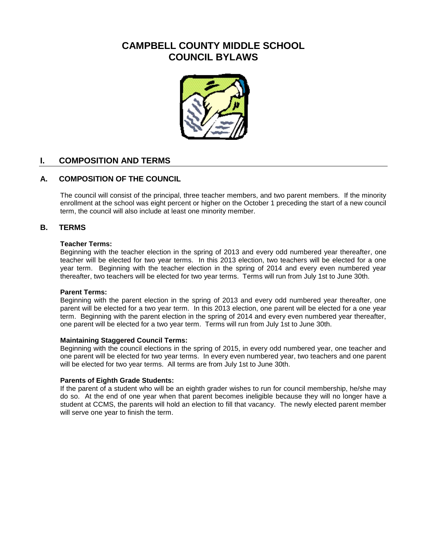# **CAMPBELL COUNTY MIDDLE SCHOOL COUNCIL BYLAWS**



# **I. COMPOSITION AND TERMS**

# **A. COMPOSITION OF THE COUNCIL**

The council will consist of the principal, three teacher members, and two parent members. If the minority enrollment at the school was eight percent or higher on the October 1 preceding the start of a new council term, the council will also include at least one minority member.

## **B. TERMS**

#### **Teacher Terms:**

Beginning with the teacher election in the spring of 2013 and every odd numbered year thereafter, one teacher will be elected for two year terms. In this 2013 election, two teachers will be elected for a one year term. Beginning with the teacher election in the spring of 2014 and every even numbered year thereafter, two teachers will be elected for two year terms. Terms will run from July 1st to June 30th.

#### **Parent Terms:**

Beginning with the parent election in the spring of 2013 and every odd numbered year thereafter, one parent will be elected for a two year term. In this 2013 election, one parent will be elected for a one year term. Beginning with the parent election in the spring of 2014 and every even numbered year thereafter, one parent will be elected for a two year term. Terms will run from July 1st to June 30th.

#### **Maintaining Staggered Council Terms:**

Beginning with the council elections in the spring of 2015, in every odd numbered year, one teacher and one parent will be elected for two year terms. In every even numbered year, two teachers and one parent will be elected for two year terms. All terms are from July 1st to June 30th.

#### **Parents of Eighth Grade Students:**

If the parent of a student who will be an eighth grader wishes to run for council membership, he/she may do so. At the end of one year when that parent becomes ineligible because they will no longer have a student at CCMS, the parents will hold an election to fill that vacancy. The newly elected parent member will serve one year to finish the term.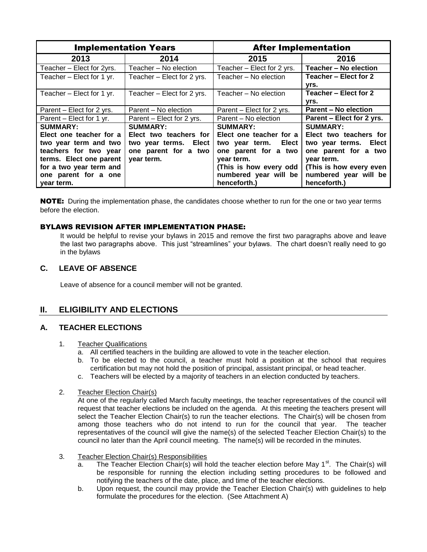| <b>Implementation Years</b> |                            | <b>After Implementation</b> |                             |
|-----------------------------|----------------------------|-----------------------------|-----------------------------|
| 2013                        | 2014                       | 2015                        | 2016                        |
| Teacher - Elect for 2yrs.   | Teacher - No election      | Teacher - Elect for 2 yrs.  | Teacher - No election       |
| Teacher - Elect for 1 yr.   | Teacher - Elect for 2 yrs. | Teacher - No election       | Teacher - Elect for 2       |
|                             |                            |                             | yrs.                        |
| Teacher – Elect for 1 yr.   | Teacher - Elect for 2 yrs. | Teacher - No election       | Teacher - Elect for 2       |
|                             |                            |                             | yrs.                        |
| Parent – Elect for 2 yrs.   | Parent – No election       | Parent – Elect for 2 yrs.   | <b>Parent - No election</b> |
| Parent - Elect for 1 yr.    | Parent – Elect for 2 yrs.  | Parent - No election        | Parent - Elect for 2 yrs.   |
| <b>SUMMARY:</b>             | <b>SUMMARY:</b>            | <b>SUMMARY:</b>             | <b>SUMMARY:</b>             |
| Elect one teacher for a     | Elect two teachers for     | Elect one teacher for a     | Elect two teachers for      |
| two year term and two       | two year terms. Elect      | two year term.<br>Elect     | two year terms. Elect       |
| teachers for two year       | one parent for a two       | one parent for a two        | one parent for a two        |
| terms. Elect one parent     | year term.                 | year term.                  | year term.                  |
| for a two year term and     |                            | (This is how every odd      | (This is how every even     |
| one parent for a one        |                            | numbered year will be       | numbered year will be       |
| year term.                  |                            | henceforth.)                | henceforth.)                |

**NOTE:** During the implementation phase, the candidates choose whether to run for the one or two year terms before the election.

#### BYLAWS REVISION AFTER IMPLEMENTATION PHASE:

It would be helpful to revise your bylaws in 2015 and remove the first two paragraphs above and leave the last two paragraphs above. This just "streamlines" your bylaws. The chart doesn't really need to go in the bylaws

### **C. LEAVE OF ABSENCE**

Leave of absence for a council member will not be granted.

# **II. ELIGIBILITY AND ELECTIONS**

### **A. TEACHER ELECTIONS**

#### 1. Teacher Qualifications

- a. All certified teachers in the building are allowed to vote in the teacher election.
- b. To be elected to the council, a teacher must hold a position at the school that requires certification but may not hold the position of principal, assistant principal, or head teacher.
- c. Teachers will be elected by a majority of teachers in an election conducted by teachers.

#### 2. Teacher Election Chair(s)

At one of the regularly called March faculty meetings, the teacher representatives of the council will request that teacher elections be included on the agenda. At this meeting the teachers present will select the Teacher Election Chair(s) to run the teacher elections. The Chair(s) will be chosen from among those teachers who do not intend to run for the council that year. The teacher representatives of the council will give the name(s) of the selected Teacher Election Chair(s) to the council no later than the April council meeting. The name(s) will be recorded in the minutes.

#### 3. Teacher Election Chair(s) Responsibilities

- a. The Teacher Election Chair(s) will hold the teacher election before May  $1<sup>st</sup>$ . The Chair(s) will be responsible for running the election including setting procedures to be followed and notifying the teachers of the date, place, and time of the teacher elections.
- b. Upon request, the council may provide the Teacher Election Chair(s) with guidelines to help formulate the procedures for the election. (See Attachment A)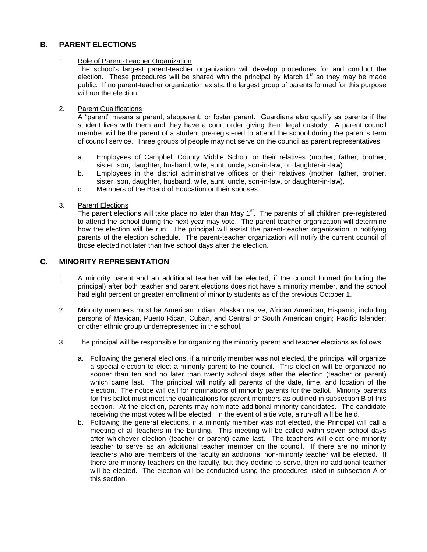# **B. PARENT ELECTIONS**

#### 1. Role of Parent-Teacher Organization

The school's largest parent-teacher organization will develop procedures for and conduct the election. These procedures will be shared with the principal by March  $1<sup>st</sup>$  so they may be made public. If no parent-teacher organization exists, the largest group of parents formed for this purpose will run the election.

#### 2. Parent Qualifications

A "parent" means a parent, stepparent, or foster parent. Guardians also qualify as parents if the student lives with them and they have a court order giving them legal custody. A parent council member will be the parent of a student pre-registered to attend the school during the parent's term of council service. Three groups of people may not serve on the council as parent representatives:

- a. Employees of Campbell County Middle School or their relatives (mother, father, brother, sister, son, daughter, husband, wife, aunt, uncle, son-in-law, or daughter-in-law).
- b. Employees in the district administrative offices or their relatives (mother, father, brother, sister, son, daughter, husband, wife, aunt, uncle, son-in-law, or daughter-in-law).
- c. Members of the Board of Education or their spouses.
- 3. Parent Elections

The parent elections will take place no later than May 1<sup>st</sup>. The parents of all children pre-registered to attend the school during the next year may vote. The parent-teacher organization will determine how the election will be run. The principal will assist the parent-teacher organization in notifying parents of the election schedule. The parent-teacher organization will notify the current council of those elected not later than five school days after the election.

# **C. MINORITY REPRESENTATION**

- 1. A minority parent and an additional teacher will be elected, if the council formed (including the principal) after both teacher and parent elections does not have a minority member, **and** the school had eight percent or greater enrollment of minority students as of the previous October 1.
- 2. Minority members must be American Indian; Alaskan native; African American; Hispanic, including persons of Mexican, Puerto Rican, Cuban, and Central or South American origin; Pacific Islander; or other ethnic group underrepresented in the school.
- 3. The principal will be responsible for organizing the minority parent and teacher elections as follows:
	- a. Following the general elections, if a minority member was not elected, the principal will organize a special election to elect a minority parent to the council. This election will be organized no sooner than ten and no later than twenty school days after the election (teacher or parent) which came last. The principal will notify all parents of the date, time, and location of the election. The notice will call for nominations of minority parents for the ballot. Minority parents for this ballot must meet the qualifications for parent members as outlined in subsection B of this section. At the election, parents may nominate additional minority candidates. The candidate receiving the most votes will be elected. In the event of a tie vote, a run-off will be held.
	- b. Following the general elections, if a minority member was not elected, the Principal will call a meeting of all teachers in the building. This meeting will be called within seven school days after whichever election (teacher or parent) came last. The teachers will elect one minority teacher to serve as an additional teacher member on the council. If there are no minority teachers who are members of the faculty an additional non-minority teacher will be elected. If there are minority teachers on the faculty, but they decline to serve, then no additional teacher will be elected. The election will be conducted using the procedures listed in subsection A of this section.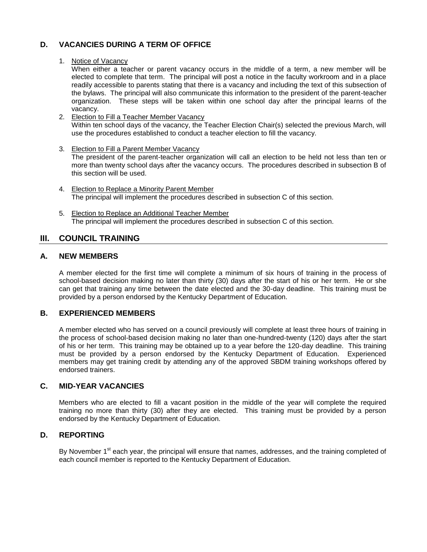# **D. VACANCIES DURING A TERM OF OFFICE**

#### 1. Notice of Vacancy

When either a teacher or parent vacancy occurs in the middle of a term, a new member will be elected to complete that term. The principal will post a notice in the faculty workroom and in a place readily accessible to parents stating that there is a vacancy and including the text of this subsection of the bylaws. The principal will also communicate this information to the president of the parent-teacher organization. These steps will be taken within one school day after the principal learns of the vacancy.

- 2. Election to Fill a Teacher Member Vacancy Within ten school days of the vacancy, the Teacher Election Chair(s) selected the previous March, will use the procedures established to conduct a teacher election to fill the vacancy.
- 3. Election to Fill a Parent Member Vacancy The president of the parent-teacher organization will call an election to be held not less than ten or more than twenty school days after the vacancy occurs. The procedures described in subsection B of this section will be used.
- 4. Election to Replace a Minority Parent Member The principal will implement the procedures described in subsection C of this section.
- 5. Election to Replace an Additional Teacher Member The principal will implement the procedures described in subsection C of this section.

# **III. COUNCIL TRAINING**

# **A. NEW MEMBERS**

A member elected for the first time will complete a minimum of six hours of training in the process of school-based decision making no later than thirty (30) days after the start of his or her term. He or she can get that training any time between the date elected and the 30-day deadline. This training must be provided by a person endorsed by the Kentucky Department of Education.

### **B. EXPERIENCED MEMBERS**

A member elected who has served on a council previously will complete at least three hours of training in the process of school-based decision making no later than one-hundred-twenty (120) days after the start of his or her term. This training may be obtained up to a year before the 120-day deadline. This training must be provided by a person endorsed by the Kentucky Department of Education. Experienced members may get training credit by attending any of the approved SBDM training workshops offered by endorsed trainers.

### **C. MID-YEAR VACANCIES**

Members who are elected to fill a vacant position in the middle of the year will complete the required training no more than thirty (30) after they are elected. This training must be provided by a person endorsed by the Kentucky Department of Education.

# **D. REPORTING**

By November 1<sup>st</sup> each year, the principal will ensure that names, addresses, and the training completed of each council member is reported to the Kentucky Department of Education.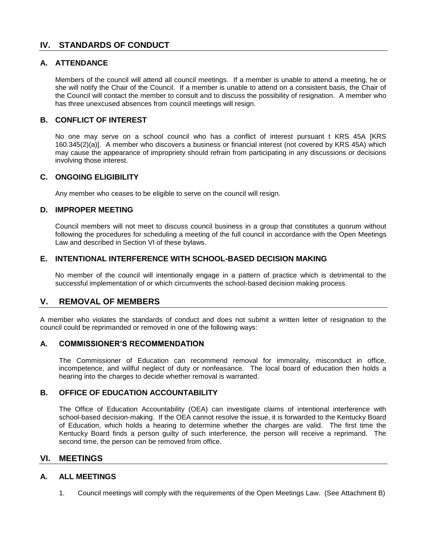# **IV. STANDARDS OF CONDUCT**

# **A. ATTENDANCE**

Members of the council will attend all council meetings. If a member is unable to attend a meeting, he or she will notify the Chair of the Council. If a member is unable to attend on a consistent basis, the Chair of the Council will contact the member to consult and to discuss the possibility of resignation. A member who has three unexcused absences from council meetings will resign.

# **B. CONFLICT OF INTEREST**

No one may serve on a school council who has a conflict of interest pursuant t KRS 45A [KRS 160.345(2)(a)]. A member who discovers a business or financial interest (not covered by KRS 45A) which may cause the appearance of impropriety should refrain from participating in any discussions or decisions involving those interest.

### **C. ONGOING ELIGIBILITY**

Any member who ceases to be eligible to serve on the council will resign.

### **D. IMPROPER MEETING**

Council members will not meet to discuss council business in a group that constitutes a quorum without following the procedures for scheduling a meeting of the full council in accordance with the Open Meetings Law and described in Section VI of these bylaws.

### **E. INTENTIONAL INTERFERENCE WITH SCHOOL-BASED DECISION MAKING**

No member of the council will intentionally engage in a pattern of practice which is detrimental to the successful implementation of or which circumvents the school-based decision making process.

# **V. REMOVAL OF MEMBERS**

A member who violates the standards of conduct and does not submit a written letter of resignation to the council could be reprimanded or removed in one of the following ways:

#### **A. COMMISSIONER'S RECOMMENDATION**

The Commissioner of Education can recommend removal for immorality, misconduct in office, incompetence, and willful neglect of duty or nonfeasance. The local board of education then holds a hearing into the charges to decide whether removal is warranted.

### **B. OFFICE OF EDUCATION ACCOUNTABILITY**

The Office of Education Accountability (OEA) can investigate claims of intentional interference with school-based decision-making. If the OEA cannot resolve the issue, it is forwarded to the Kentucky Board of Education, which holds a hearing to determine whether the charges are valid. The first time the Kentucky Board finds a person guilty of such interference, the person will receive a reprimand. The second time, the person can be removed from office.

# **VI. MEETINGS**

### **A. ALL MEETINGS**

1. Council meetings will comply with the requirements of the Open Meetings Law. (See Attachment B)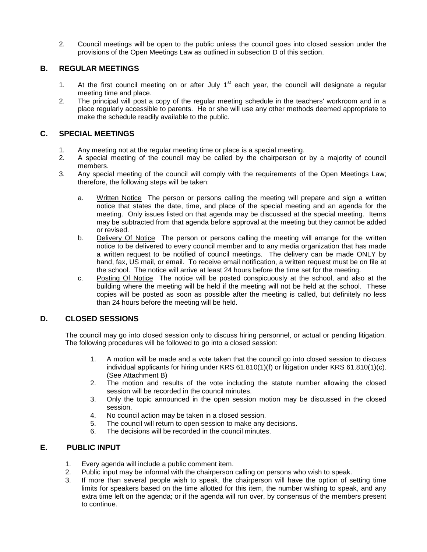2. Council meetings will be open to the public unless the council goes into closed session under the provisions of the Open Meetings Law as outlined in subsection D of this section.

# **B. REGULAR MEETINGS**

- 1. At the first council meeting on or after July  $1<sup>st</sup>$  each year, the council will designate a regular meeting time and place.
- 2. The principal will post a copy of the regular meeting schedule in the teachers' workroom and in a place regularly accessible to parents. He or she will use any other methods deemed appropriate to make the schedule readily available to the public.

# **C. SPECIAL MEETINGS**

- 1. Any meeting not at the regular meeting time or place is a special meeting.
- 2. A special meeting of the council may be called by the chairperson or by a majority of council members.
- 3. Any special meeting of the council will comply with the requirements of the Open Meetings Law; therefore, the following steps will be taken:
	- a. Written Notice The person or persons calling the meeting will prepare and sign a written notice that states the date, time, and place of the special meeting and an agenda for the meeting. Only issues listed on that agenda may be discussed at the special meeting. Items may be subtracted from that agenda before approval at the meeting but they cannot be added or revised.
	- b. Delivery Of Notice The person or persons calling the meeting will arrange for the written notice to be delivered to every council member and to any media organization that has made a written request to be notified of council meetings. The delivery can be made ONLY by hand, fax, US mail, or email. To receive email notification, a written request must be on file at the school. The notice will arrive at least 24 hours before the time set for the meeting.
	- c. Posting Of Notice The notice will be posted conspicuously at the school, and also at the building where the meeting will be held if the meeting will not be held at the school. These copies will be posted as soon as possible after the meeting is called, but definitely no less than 24 hours before the meeting will be held.

# **D. CLOSED SESSIONS**

The council may go into closed session only to discuss hiring personnel, or actual or pending litigation. The following procedures will be followed to go into a closed session:

- 1. A motion will be made and a vote taken that the council go into closed session to discuss individual applicants for hiring under KRS 61.810(1)(f) or litigation under KRS 61.810(1)(c). (See Attachment B)
- 2. The motion and results of the vote including the statute number allowing the closed session will be recorded in the council minutes.
- 3. Only the topic announced in the open session motion may be discussed in the closed session.
- 4. No council action may be taken in a closed session.
- 5. The council will return to open session to make any decisions.
- 6. The decisions will be recorded in the council minutes.

# **E. PUBLIC INPUT**

- 1. Every agenda will include a public comment item.
- 2. Public input may be informal with the chairperson calling on persons who wish to speak.
- 3. If more than several people wish to speak, the chairperson will have the option of setting time limits for speakers based on the time allotted for this item, the number wishing to speak, and any extra time left on the agenda; or if the agenda will run over, by consensus of the members present to continue.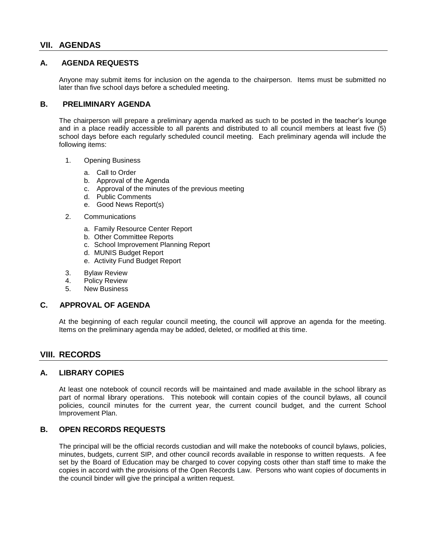# **VII. AGENDAS**

#### **A. AGENDA REQUESTS**

Anyone may submit items for inclusion on the agenda to the chairperson. Items must be submitted no later than five school days before a scheduled meeting.

#### **B. PRELIMINARY AGENDA**

The chairperson will prepare a preliminary agenda marked as such to be posted in the teacher's lounge and in a place readily accessible to all parents and distributed to all council members at least five (5) school days before each regularly scheduled council meeting. Each preliminary agenda will include the following items:

- 1. Opening Business
	- a. Call to Order
	- b. Approval of the Agenda
	- c. Approval of the minutes of the previous meeting
	- d. Public Comments
	- e. Good News Report(s)
- 2. Communications
	- a. Family Resource Center Report
	- b. Other Committee Reports
	- c. School Improvement Planning Report
	- d. MUNIS Budget Report
	- e. Activity Fund Budget Report
- 3. Bylaw Review
- 4. Policy Review
- 5. New Business

#### **C. APPROVAL OF AGENDA**

At the beginning of each regular council meeting, the council will approve an agenda for the meeting. Items on the preliminary agenda may be added, deleted, or modified at this time.

### **VIII. RECORDS**

#### **A. LIBRARY COPIES**

At least one notebook of council records will be maintained and made available in the school library as part of normal library operations. This notebook will contain copies of the council bylaws, all council policies, council minutes for the current year, the current council budget, and the current School Improvement Plan.

### **B. OPEN RECORDS REQUESTS**

The principal will be the official records custodian and will make the notebooks of council bylaws, policies, minutes, budgets, current SIP, and other council records available in response to written requests. A fee set by the Board of Education may be charged to cover copying costs other than staff time to make the copies in accord with the provisions of the Open Records Law. Persons who want copies of documents in the council binder will give the principal a written request.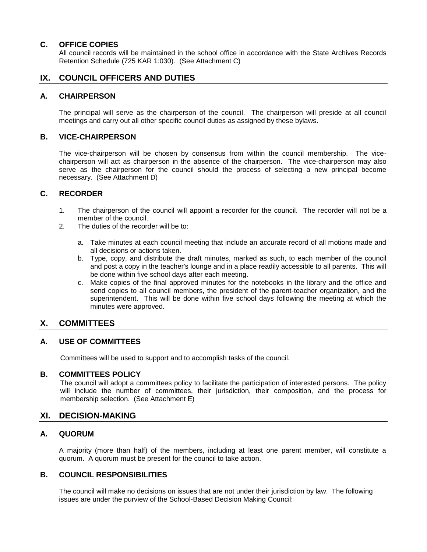### **C. OFFICE COPIES**

All council records will be maintained in the school office in accordance with the State Archives Records Retention Schedule (725 KAR 1:030). (See Attachment C)

# **IX. COUNCIL OFFICERS AND DUTIES**

#### **A. CHAIRPERSON**

The principal will serve as the chairperson of the council. The chairperson will preside at all council meetings and carry out all other specific council duties as assigned by these bylaws.

### **B. VICE-CHAIRPERSON**

The vice-chairperson will be chosen by consensus from within the council membership. The vicechairperson will act as chairperson in the absence of the chairperson. The vice-chairperson may also serve as the chairperson for the council should the process of selecting a new principal become necessary. (See Attachment D)

### **C. RECORDER**

- 1. The chairperson of the council will appoint a recorder for the council. The recorder will not be a member of the council.
- 2. The duties of the recorder will be to:
	- a. Take minutes at each council meeting that include an accurate record of all motions made and all decisions or actions taken.
	- b. Type, copy, and distribute the draft minutes, marked as such, to each member of the council and post a copy in the teacher's lounge and in a place readily accessible to all parents. This will be done within five school days after each meeting.
	- c. Make copies of the final approved minutes for the notebooks in the library and the office and send copies to all council members, the president of the parent-teacher organization, and the superintendent. This will be done within five school days following the meeting at which the minutes were approved.

# **X. COMMITTEES**

### **A. USE OF COMMITTEES**

Committees will be used to support and to accomplish tasks of the council.

#### **B. COMMITTEES POLICY**

The council will adopt a committees policy to facilitate the participation of interested persons. The policy will include the number of committees, their jurisdiction, their composition, and the process for membership selection. (See Attachment E)

# **XI. DECISION-MAKING**

### **A. QUORUM**

A majority (more than half) of the members, including at least one parent member, will constitute a quorum. A quorum must be present for the council to take action.

# **B. COUNCIL RESPONSIBILITIES**

The council will make no decisions on issues that are not under their jurisdiction by law. The following issues are under the purview of the School-Based Decision Making Council: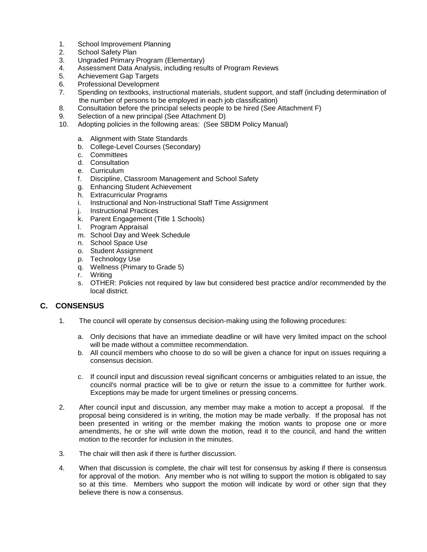- 1. School Improvement Planning
- 2. School Safety Plan
- 3. Ungraded Primary Program (Elementary)
- 4. Assessment Data Analysis, including results of Program Reviews
- 5. Achievement Gap Targets
- 6. Professional Development
- 7. Spending on textbooks, instructional materials, student support, and staff (including determination of the number of persons to be employed in each job classification)
- 8. Consultation before the principal selects people to be hired (See Attachment F)
- 9. Selection of a new principal (See Attachment D)
- 10. Adopting policies in the following areas: (See SBDM Policy Manual)
	- a. Alignment with State Standards
	- b. College-Level Courses (Secondary)
	- c. Committees
	- d. Consultation
	- e. Curriculum
	- f. Discipline, Classroom Management and School Safety
	- g. Enhancing Student Achievement
	- h. Extracurricular Programs
	- i. Instructional and Non-Instructional Staff Time Assignment
	- j. Instructional Practices
	- k. Parent Engagement (Title 1 Schools)
	- l. Program Appraisal
	- m. School Day and Week Schedule
	- n. School Space Use
	- o. Student Assignment
	- p. Technology Use
	- q. Wellness (Primary to Grade 5)
	- Writing
	- s. OTHER: Policies not required by law but considered best practice and/or recommended by the local district.

# **C. CONSENSUS**

- 1. The council will operate by consensus decision-making using the following procedures:
	- a. Only decisions that have an immediate deadline or will have very limited impact on the school will be made without a committee recommendation.
	- b. All council members who choose to do so will be given a chance for input on issues requiring a consensus decision.
	- c. If council input and discussion reveal significant concerns or ambiguities related to an issue, the council's normal practice will be to give or return the issue to a committee for further work. Exceptions may be made for urgent timelines or pressing concerns.
- 2. After council input and discussion, any member may make a motion to accept a proposal. If the proposal being considered is in writing, the motion may be made verbally. If the proposal has not been presented in writing or the member making the motion wants to propose one or more amendments, he or she will write down the motion, read it to the council, and hand the written motion to the recorder for inclusion in the minutes.
- 3. The chair will then ask if there is further discussion.
- 4. When that discussion is complete, the chair will test for consensus by asking if there is consensus for approval of the motion. Any member who is not willing to support the motion is obligated to say so at this time. Members who support the motion will indicate by word or other sign that they believe there is now a consensus.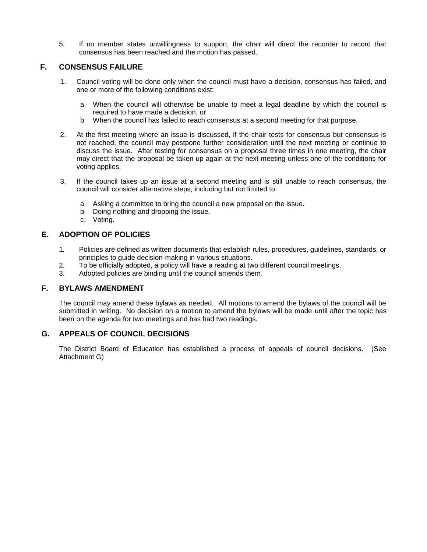5. If no member states unwillingness to support, the chair will direct the recorder to record that consensus has been reached and the motion has passed.

# **F. CONSENSUS FAILURE**

- 1. Council voting will be done only when the council must have a decision, consensus has failed, and one or more of the following conditions exist:
	- a. When the council will otherwise be unable to meet a legal deadline by which the council is required to have made a decision, or
	- b. When the council has failed to reach consensus at a second meeting for that purpose.
- 2. At the first meeting where an issue is discussed, if the chair tests for consensus but consensus is not reached, the council may postpone further consideration until the next meeting or continue to discuss the issue. After testing for consensus on a proposal three times in one meeting, the chair may direct that the proposal be taken up again at the next meeting unless one of the conditions for voting applies.
- 3. If the council takes up an issue at a second meeting and is still unable to reach consensus, the council will consider alternative steps, including but not limited to:
	- a. Asking a committee to bring the council a new proposal on the issue.
	- b. Doing nothing and dropping the issue.
	- c. Voting.

# **E. ADOPTION OF POLICIES**

- 1. Policies are defined as written documents that establish rules, procedures, guidelines, standards, or principles to guide decision-making in various situations.
- 2. To be officially adopted, a policy will have a reading at two different council meetings.
- 3. Adopted policies are binding until the council amends them.

# **F. BYLAWS AMENDMENT**

The council may amend these bylaws as needed. All motions to amend the bylaws of the council will be submitted in writing. No decision on a motion to amend the bylaws will be made until after the topic has been on the agenda for two meetings and has had two readings.

# **G. APPEALS OF COUNCIL DECISIONS**

The District Board of Education has established a process of appeals of council decisions. (See Attachment G)